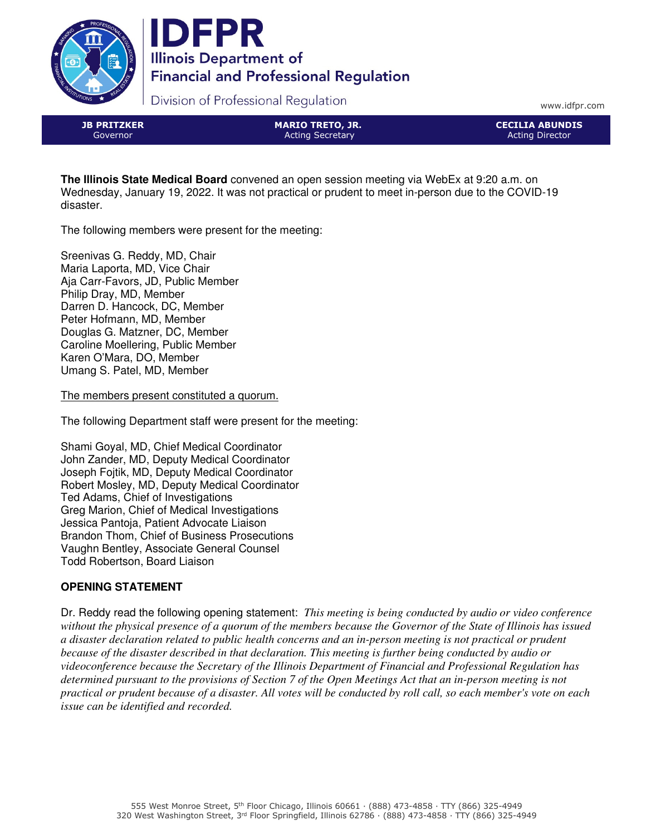



Division of Professional Regulation

www.idfpr.com

JB PRITZKER Governor

MARIO TRETO, JR. Acting Secretary

CECILIA ABUNDIS Acting Director

**The Illinois State Medical Board** convened an open session meeting via WebEx at 9:20 a.m. on Wednesday, January 19, 2022. It was not practical or prudent to meet in-person due to the COVID-19 disaster.

The following members were present for the meeting:

Sreenivas G. Reddy, MD, Chair Maria Laporta, MD, Vice Chair Aja Carr-Favors, JD, Public Member Philip Dray, MD, Member Darren D. Hancock, DC, Member Peter Hofmann, MD, Member Douglas G. Matzner, DC, Member Caroline Moellering, Public Member Karen O'Mara, DO, Member Umang S. Patel, MD, Member

The members present constituted a quorum.

The following Department staff were present for the meeting:

Shami Goyal, MD, Chief Medical Coordinator John Zander, MD, Deputy Medical Coordinator Joseph Fojtik, MD, Deputy Medical Coordinator Robert Mosley, MD, Deputy Medical Coordinator Ted Adams, Chief of Investigations Greg Marion, Chief of Medical Investigations Jessica Pantoja, Patient Advocate Liaison Brandon Thom, Chief of Business Prosecutions Vaughn Bentley, Associate General Counsel Todd Robertson, Board Liaison

# **OPENING STATEMENT**

Dr. Reddy read the following opening statement: *This meeting is being conducted by audio or video conference without the physical presence of a quorum of the members because the Governor of the State of Illinois has issued a disaster declaration related to public health concerns and an in-person meeting is not practical or prudent because of the disaster described in that declaration. This meeting is further being conducted by audio or videoconference because the Secretary of the Illinois Department of Financial and Professional Regulation has determined pursuant to the provisions of Section 7 of the Open Meetings Act that an in-person meeting is not practical or prudent because of a disaster. All votes will be conducted by roll call, so each member's vote on each issue can be identified and recorded.*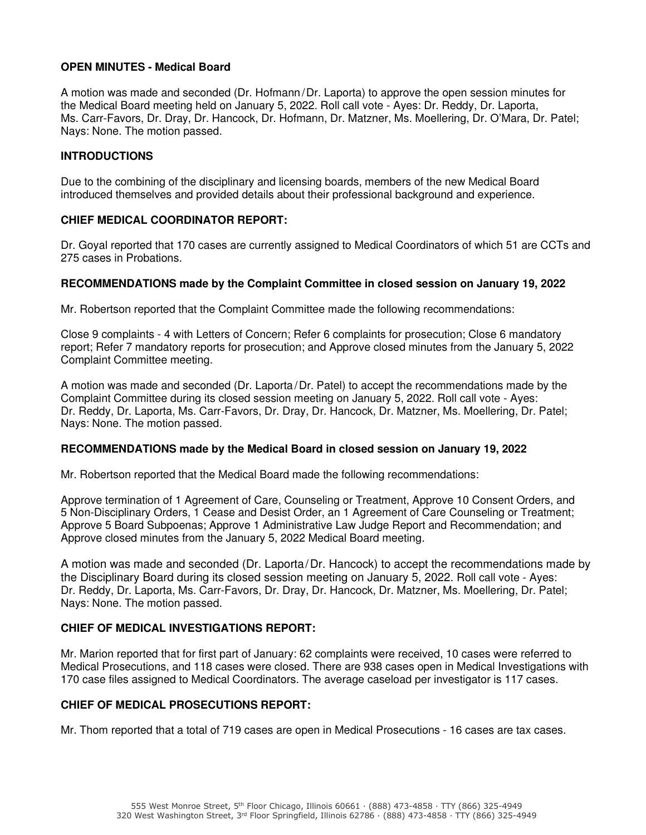# **OPEN MINUTES - Medical Board**

A motion was made and seconded (Dr. Hofmann/Dr. Laporta) to approve the open session minutes for the Medical Board meeting held on January 5, 2022. Roll call vote - Ayes: Dr. Reddy, Dr. Laporta, Ms. Carr-Favors, Dr. Dray, Dr. Hancock, Dr. Hofmann, Dr. Matzner, Ms. Moellering, Dr. O'Mara, Dr. Patel; Nays: None. The motion passed.

# **INTRODUCTIONS**

Due to the combining of the disciplinary and licensing boards, members of the new Medical Board introduced themselves and provided details about their professional background and experience.

# **CHIEF MEDICAL COORDINATOR REPORT:**

Dr. Goyal reported that 170 cases are currently assigned to Medical Coordinators of which 51 are CCTs and 275 cases in Probations.

#### **RECOMMENDATIONS made by the Complaint Committee in closed session on January 19, 2022**

Mr. Robertson reported that the Complaint Committee made the following recommendations:

Close 9 complaints - 4 with Letters of Concern; Refer 6 complaints for prosecution; Close 6 mandatory report; Refer 7 mandatory reports for prosecution; and Approve closed minutes from the January 5, 2022 Complaint Committee meeting.

A motion was made and seconded (Dr. Laporta/Dr. Patel) to accept the recommendations made by the Complaint Committee during its closed session meeting on January 5, 2022. Roll call vote - Ayes: Dr. Reddy, Dr. Laporta, Ms. Carr-Favors, Dr. Dray, Dr. Hancock, Dr. Matzner, Ms. Moellering, Dr. Patel; Nays: None. The motion passed.

#### **RECOMMENDATIONS made by the Medical Board in closed session on January 19, 2022**

Mr. Robertson reported that the Medical Board made the following recommendations:

Approve termination of 1 Agreement of Care, Counseling or Treatment, Approve 10 Consent Orders, and 5 Non-Disciplinary Orders, 1 Cease and Desist Order, an 1 Agreement of Care Counseling or Treatment; Approve 5 Board Subpoenas; Approve 1 Administrative Law Judge Report and Recommendation; and Approve closed minutes from the January 5, 2022 Medical Board meeting.

A motion was made and seconded (Dr. Laporta/Dr. Hancock) to accept the recommendations made by the Disciplinary Board during its closed session meeting on January 5, 2022. Roll call vote - Ayes: Dr. Reddy, Dr. Laporta, Ms. Carr-Favors, Dr. Dray, Dr. Hancock, Dr. Matzner, Ms. Moellering, Dr. Patel; Nays: None. The motion passed.

#### **CHIEF OF MEDICAL INVESTIGATIONS REPORT:**

Mr. Marion reported that for first part of January: 62 complaints were received, 10 cases were referred to Medical Prosecutions, and 118 cases were closed. There are 938 cases open in Medical Investigations with 170 case files assigned to Medical Coordinators. The average caseload per investigator is 117 cases.

#### **CHIEF OF MEDICAL PROSECUTIONS REPORT:**

Mr. Thom reported that a total of 719 cases are open in Medical Prosecutions - 16 cases are tax cases.